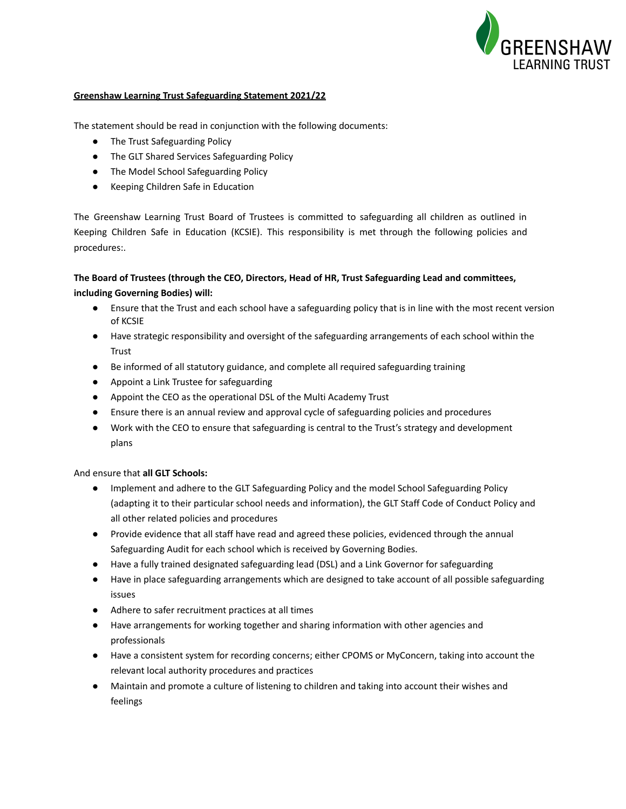

# **Greenshaw Learning Trust Safeguarding Statement 2021/22**

The statement should be read in conjunction with the following documents:

- The Trust Safeguarding Policy
- The GLT Shared Services Safeguarding Policy
- The Model School Safeguarding Policy
- Keeping Children Safe in Education

The Greenshaw Learning Trust Board of Trustees is committed to safeguarding all children as outlined in Keeping Children Safe in Education (KCSIE). This responsibility is met through the following policies and procedures:.

# **The Board of Trustees (through the CEO, Directors, Head of HR, Trust Safeguarding Lead and committees, including Governing Bodies) will:**

- Ensure that the Trust and each school have a safeguarding policy that is in line with the most recent version of KCSIE
- Have strategic responsibility and oversight of the safeguarding arrangements of each school within the Trust
- Be informed of all statutory guidance, and complete all required safeguarding training
- Appoint a Link Trustee for safeguarding
- Appoint the CEO as the operational DSL of the Multi Academy Trust
- Ensure there is an annual review and approval cycle of safeguarding policies and procedures
- Work with the CEO to ensure that safeguarding is central to the Trust's strategy and development plans

#### And ensure that **all GLT Schools:**

- Implement and adhere to the GLT Safeguarding Policy and the model School Safeguarding Policy (adapting it to their particular school needs and information), the GLT Staff Code of Conduct Policy and all other related policies and procedures
- Provide evidence that all staff have read and agreed these policies, evidenced through the annual Safeguarding Audit for each school which is received by Governing Bodies.
- Have a fully trained designated safeguarding lead (DSL) and a Link Governor for safeguarding
- Have in place safeguarding arrangements which are designed to take account of all possible safeguarding issues
- Adhere to safer recruitment practices at all times
- Have arrangements for working together and sharing information with other agencies and professionals
- Have a consistent system for recording concerns; either CPOMS or MyConcern, taking into account the relevant local authority procedures and practices
- Maintain and promote a culture of listening to children and taking into account their wishes and feelings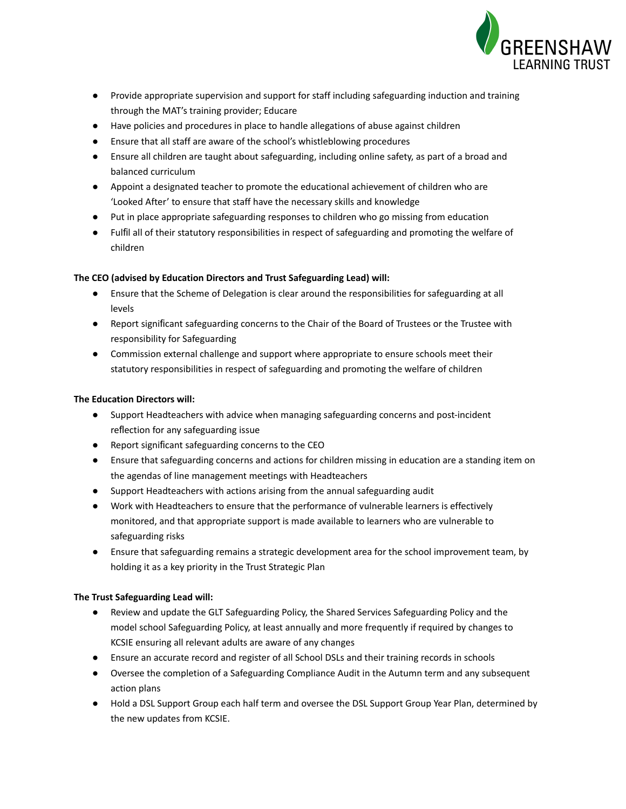

- Provide appropriate supervision and support for staff including safeguarding induction and training through the MAT's training provider; Educare
- Have policies and procedures in place to handle allegations of abuse against children
- Ensure that all staff are aware of the school's whistleblowing procedures
- Ensure all children are taught about safeguarding, including online safety, as part of a broad and balanced curriculum
- Appoint a designated teacher to promote the educational achievement of children who are 'Looked After' to ensure that staff have the necessary skills and knowledge
- Put in place appropriate safeguarding responses to children who go missing from education
- Fulfil all of their statutory responsibilities in respect of safeguarding and promoting the welfare of children

# **The CEO (advised by Education Directors and Trust Safeguarding Lead) will:**

- Ensure that the Scheme of Delegation is clear around the responsibilities for safeguarding at all levels
- Report significant safeguarding concerns to the Chair of the Board of Trustees or the Trustee with responsibility for Safeguarding
- Commission external challenge and support where appropriate to ensure schools meet their statutory responsibilities in respect of safeguarding and promoting the welfare of children

# **The Education Directors will:**

- Support Headteachers with advice when managing safeguarding concerns and post-incident reflection for any safeguarding issue
- Report significant safeguarding concerns to the CEO
- Ensure that safeguarding concerns and actions for children missing in education are a standing item on the agendas of line management meetings with Headteachers
- Support Headteachers with actions arising from the annual safeguarding audit
- Work with Headteachers to ensure that the performance of vulnerable learners is effectively monitored, and that appropriate support is made available to learners who are vulnerable to safeguarding risks
- Ensure that safeguarding remains a strategic development area for the school improvement team, by holding it as a key priority in the Trust Strategic Plan

### **The Trust Safeguarding Lead will:**

- Review and update the GLT Safeguarding Policy, the Shared Services Safeguarding Policy and the model school Safeguarding Policy, at least annually and more frequently if required by changes to KCSIE ensuring all relevant adults are aware of any changes
- Ensure an accurate record and register of all School DSLs and their training records in schools
- Oversee the completion of a Safeguarding Compliance Audit in the Autumn term and any subsequent action plans
- Hold a DSL Support Group each half term and oversee the DSL Support Group Year Plan, determined by the new updates from KCSIE.